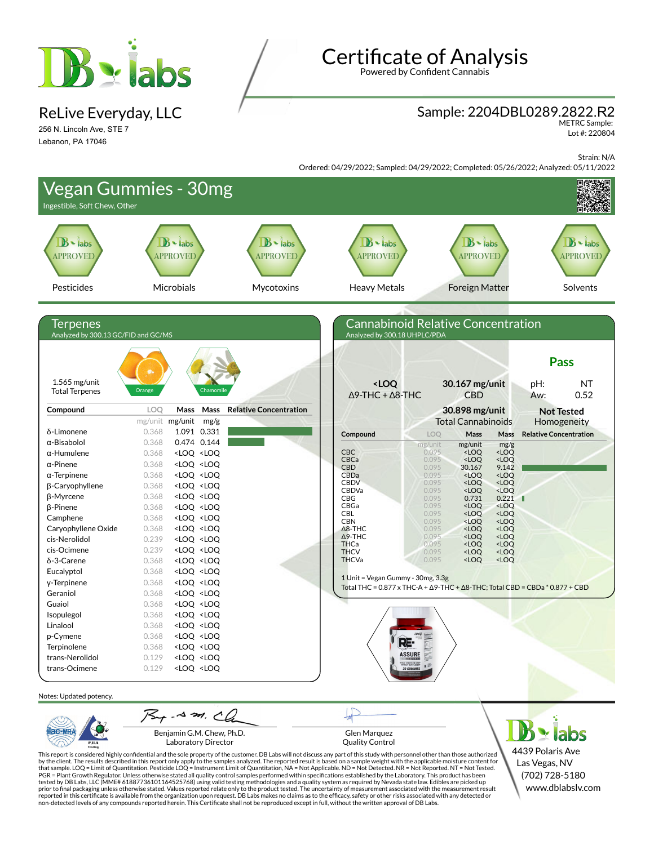

ReLive Everyday, LLC

256 N. Lincoln Ave, STE 7 Lebanon, PA 17046

# Certificate of Analysis

Powered by Confident Cannabis

#### Sample: 2204DBL0289.2822.R2

METRC Sample: Lot #: 220804

Strain: N/A

Ordered: 04/29/2022; Sampled: 04/29/2022; Completed: 05/26/2022; Analyzed: 05/11/2022

| <b>Vegan Gummies - 30mg</b><br>Ingestible, Soft Chew, Other |                                                                                                                                                                                                                              |                                       |                                                                                                      |                                                                                                                        |                                                        |                               |                                        |
|-------------------------------------------------------------|------------------------------------------------------------------------------------------------------------------------------------------------------------------------------------------------------------------------------|---------------------------------------|------------------------------------------------------------------------------------------------------|------------------------------------------------------------------------------------------------------------------------|--------------------------------------------------------|-------------------------------|----------------------------------------|
| $B -$ labs<br><b>APPROVED</b>                               | $B -$ labs<br><b>APPROVED</b>                                                                                                                                                                                                | $B \cdot$ labs<br><b>APPROVED</b>     | $\mathbf{B}$ - labs<br><b>APPROVED</b>                                                               |                                                                                                                        | $\mathbf{B}$ - labs<br><b>APPROVED</b>                 |                               | $\mathbf{B}$ - labs<br><b>APPROVED</b> |
| Pesticides                                                  | Microbials                                                                                                                                                                                                                   | Mycotoxins                            | <b>Heavy Metals</b>                                                                                  |                                                                                                                        | <b>Foreign Matter</b>                                  |                               | Solvents                               |
|                                                             |                                                                                                                                                                                                                              |                                       |                                                                                                      |                                                                                                                        |                                                        |                               |                                        |
| Terpenes<br>Analyzed by 300.13 GC/FID and GC/MS             |                                                                                                                                                                                                                              |                                       | <b>Cannabinoid Relative Concentration</b><br>Analyzed by 300.18 UHPLC/PDA                            |                                                                                                                        |                                                        |                               |                                        |
|                                                             | <b>拳。</b>                                                                                                                                                                                                                    |                                       |                                                                                                      |                                                                                                                        |                                                        |                               | <b>Pass</b>                            |
| $1.565$ mg/unit<br><b>Total Terpenes</b>                    | Orange                                                                                                                                                                                                                       | Chamomil                              | <loq<br><math>\Delta</math>9-THC + <math>\Delta</math>8-THC</loq<br>                                 | 30.167 mg/unit<br><b>CBD</b>                                                                                           |                                                        | pH:<br>Aw:                    | <b>NT</b><br>0.52                      |
| Compound                                                    | LOQ<br>Mass                                                                                                                                                                                                                  | Mass<br><b>Relative Concentration</b> |                                                                                                      | 30.898 mg/unit                                                                                                         |                                                        |                               | <b>Not Tested</b>                      |
| δ-Limonene                                                  | mg/unit mg/unit<br>0.368<br>1.091 0.331                                                                                                                                                                                      | mg/g                                  | Compound                                                                                             | <b>Total Cannabinoids</b><br>LOQ<br>Mass                                                                               | Mass                                                   | <b>Relative Concentration</b> | Homogeneity                            |
| α-Bisabolol                                                 | 0.474 0.144<br>0.368                                                                                                                                                                                                         |                                       |                                                                                                      | mg/unit<br>mg/unit                                                                                                     | mg/g                                                   |                               |                                        |
| $\alpha$ -Humulene                                          | <loq <loq<br="">0.368</loq>                                                                                                                                                                                                  |                                       | <b>CBC</b>                                                                                           | 0.095<br><loq< td=""><td><loq< td=""><td></td><td></td></loq<></td></loq<>                                             | <loq< td=""><td></td><td></td></loq<>                  |                               |                                        |
| $\alpha$ -Pinene                                            | 0.368<br><loq <loq<="" td=""><td></td><td>CBCa<br/><b>CBD</b></td><td>0.095<br/><loq<br>0.095<br/>30.167</loq<br></td><td><loq<br>9.142</loq<br></td><td></td><td></td></loq>                                                |                                       | CBCa<br><b>CBD</b>                                                                                   | 0.095<br><loq<br>0.095<br/>30.167</loq<br>                                                                             | <loq<br>9.142</loq<br>                                 |                               |                                        |
| $\alpha$ -Terpinene                                         | <loq <loq<br="">0.368</loq>                                                                                                                                                                                                  |                                       | CBDa                                                                                                 | 0.095<br><loq< td=""><td><loq< td=""><td></td><td></td></loq<></td></loq<>                                             | <loq< td=""><td></td><td></td></loq<>                  |                               |                                        |
| β-Caryophyllene                                             | 0.368<br><loq <loq<="" td=""><td></td><td><b>CBDV</b><br/><b>CBDVa</b></td><td>0.095<br/><loq<br><loq<br>0.095</loq<br></loq<br></td><td><loq<br><loq< td=""><td></td><td></td></loq<></loq<br></td></loq>                   |                                       | <b>CBDV</b><br><b>CBDVa</b>                                                                          | 0.095<br><loq<br><loq<br>0.095</loq<br></loq<br>                                                                       | <loq<br><loq< td=""><td></td><td></td></loq<></loq<br> |                               |                                        |
| β-Myrcene                                                   | 0.368<br><loq <loq<="" td=""><td></td><td><b>CBG</b></td><td>0.095<br/>0.731</td><td>0.221</td><td>ш</td><td></td></loq>                                                                                                     |                                       | <b>CBG</b>                                                                                           | 0.095<br>0.731                                                                                                         | 0.221                                                  | ш                             |                                        |
| β-Pinene                                                    | 0.368<br><loq <loq<="" td=""><td></td><td>CBGa</td><td>0.095<br/><loq< td=""><td><loq< td=""><td></td><td></td></loq<></td></loq<></td></loq>                                                                                |                                       | CBGa                                                                                                 | 0.095<br><loq< td=""><td><loq< td=""><td></td><td></td></loq<></td></loq<>                                             | <loq< td=""><td></td><td></td></loq<>                  |                               |                                        |
| Camphene                                                    | 0.368<br><loq <loq<="" td=""><td></td><td>CBL<br/><b>CBN</b></td><td>0.095<br/><loq<br>0.095<br/><loq< td=""><td><loq<br><loq< td=""><td></td><td></td></loq<></loq<br></td></loq<></loq<br></td></loq>                      |                                       | CBL<br><b>CBN</b>                                                                                    | 0.095<br><loq<br>0.095<br/><loq< td=""><td><loq<br><loq< td=""><td></td><td></td></loq<></loq<br></td></loq<></loq<br> | <loq<br><loq< td=""><td></td><td></td></loq<></loq<br> |                               |                                        |
| Caryophyllene Oxide                                         | 0.368<br><loq <loq<="" td=""><td></td><td><math>\Delta</math>8-THC</td><td><loq<br>0.095</loq<br></td><td><loq< td=""><td></td><td></td></loq<></td></loq>                                                                   |                                       | $\Delta$ 8-THC                                                                                       | <loq<br>0.095</loq<br>                                                                                                 | <loq< td=""><td></td><td></td></loq<>                  |                               |                                        |
| cis-Nerolidol                                               | 0.239<br><loq <loq<="" td=""><td></td><td><math>\Delta</math>9-THC<br/>THCa</td><td>0.095<br/><loq<br>0.095<br/><loq< td=""><td><loq<br><loq< td=""><td></td><td></td></loq<></loq<br></td></loq<></loq<br></td></loq>       |                                       | $\Delta$ 9-THC<br>THCa                                                                               | 0.095<br><loq<br>0.095<br/><loq< td=""><td><loq<br><loq< td=""><td></td><td></td></loq<></loq<br></td></loq<></loq<br> | <loq<br><loq< td=""><td></td><td></td></loq<></loq<br> |                               |                                        |
| cis-Ocimene                                                 | 0.239<br><loq <loq<="" td=""><td></td><td><b>THCV</b></td><td>0.095<br/><loq< td=""><td><loq< td=""><td></td><td></td></loq<></td></loq<></td></loq>                                                                         |                                       | <b>THCV</b>                                                                                          | 0.095<br><loq< td=""><td><loq< td=""><td></td><td></td></loq<></td></loq<>                                             | <loq< td=""><td></td><td></td></loq<>                  |                               |                                        |
| δ-3-Carene                                                  | 0.368<br><loq <loq<="" td=""><td></td><td><b>THCVa</b></td><td>0.095<br/><loq< td=""><td><loq< td=""><td></td><td></td></loq<></td></loq<></td></loq>                                                                        |                                       | <b>THCVa</b>                                                                                         | 0.095<br><loq< td=""><td><loq< td=""><td></td><td></td></loq<></td></loq<>                                             | <loq< td=""><td></td><td></td></loq<>                  |                               |                                        |
| Eucalyptol                                                  | 0.368<br><loq <loq<="" td=""><td></td><td>1 Unit = Vegan Gummy - 30mg, 3.3g</td><td></td><td></td><td></td><td></td></loq>                                                                                                   |                                       | 1 Unit = Vegan Gummy - 30mg, 3.3g                                                                    |                                                                                                                        |                                                        |                               |                                        |
| y-Terpinene                                                 | 0.368<br><loq <loq<="" td=""><td></td><td>Total THC = <math>0.877 \times THC-A + \Delta 9</math>-THC + <math>\Delta 8</math>-THC; Total CBD = CBDa * <math>0.877 + CBD</math></td><td></td><td></td><td></td><td></td></loq> |                                       | Total THC = $0.877 \times THC-A + \Delta 9$ -THC + $\Delta 8$ -THC; Total CBD = CBDa * $0.877 + CBD$ |                                                                                                                        |                                                        |                               |                                        |
| Geraniol                                                    | 0.368<br><loq <loq<="" td=""><td></td><td></td><td></td><td></td><td></td><td></td></loq>                                                                                                                                    |                                       |                                                                                                      |                                                                                                                        |                                                        |                               |                                        |
| Guaiol                                                      | <loq <loq<br="">0.368</loq>                                                                                                                                                                                                  |                                       |                                                                                                      |                                                                                                                        |                                                        |                               |                                        |
| Isopulegol                                                  | 0.368<br><loq <loq<="" td=""><td></td><td></td><td></td><td></td><td></td><td></td></loq>                                                                                                                                    |                                       |                                                                                                      |                                                                                                                        |                                                        |                               |                                        |
| Linalool                                                    | 0.368<br><loq <loq<="" td=""><td></td><td></td><td></td><td></td><td></td><td></td></loq>                                                                                                                                    |                                       |                                                                                                      |                                                                                                                        |                                                        |                               |                                        |
| p-Cymene                                                    | <loq <loq<br="">0.368</loq>                                                                                                                                                                                                  |                                       |                                                                                                      |                                                                                                                        |                                                        |                               |                                        |
| Terpinolene                                                 | 0.368<br><loq <loq<="" td=""><td></td><td>ASSURE</td><td></td><td></td><td></td><td></td></loq>                                                                                                                              |                                       | ASSURE                                                                                               |                                                                                                                        |                                                        |                               |                                        |
| trans-Nerolidol<br>trans-Ocimene                            | 0.129<br><loq <loq<br=""><loq <loq<br="">0.129</loq></loq>                                                                                                                                                                   |                                       |                                                                                                      | ETHER SPECIAL MAN                                                                                                      |                                                        |                               |                                        |
| Notes: Updated potency.                                     |                                                                                                                                                                                                                              |                                       |                                                                                                      |                                                                                                                        |                                                        |                               |                                        |
|                                                             | $75 + 0.4$ m. Ch                                                                                                                                                                                                             |                                       |                                                                                                      |                                                                                                                        |                                                        |                               |                                        |
| ac-MR                                                       | Benjamin G.M. Chew, Ph.D.                                                                                                                                                                                                    |                                       | Glen Marquez                                                                                         |                                                                                                                        |                                                        |                               | $\mathbf{\cdot}$ labs                  |

Laboratory Director

 $PJLA$ 

Glen Marquez Quality Control

This report is considered highly confidential and the sole property of the customer. DB Labs will not discuss any part of this study with personnel other than those authorized<br>by the client. The results described in this r

4439 Polaris Ave Las Vegas, NV (702) 728-5180 www.dblabslv.com